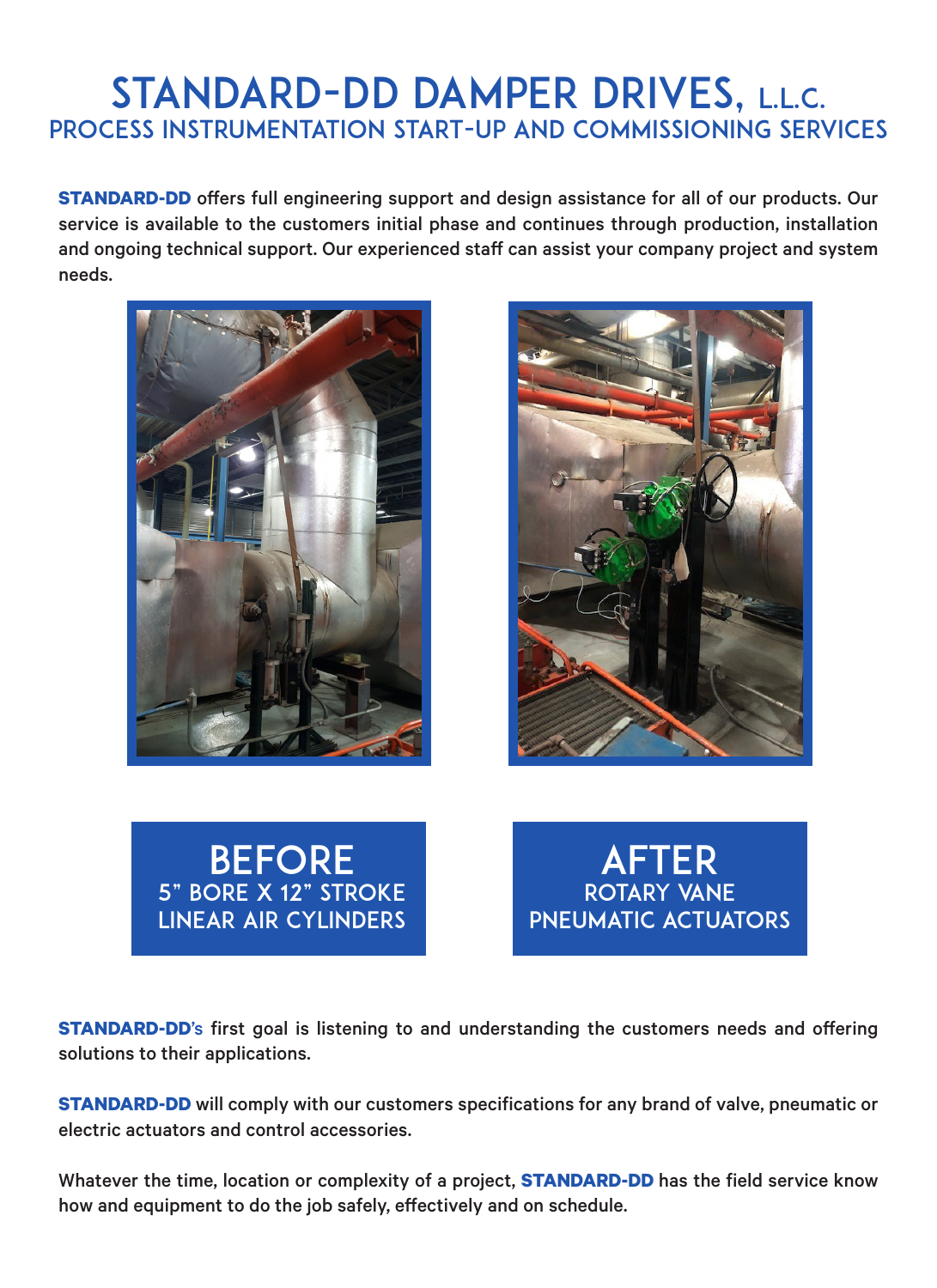## STANDARD-DD DAMPER DRIVES, L.L.C. PROCESS INSTRUMENTATION START-UP AND COMMISSIONING SERVICES

**STANDARD-DD** offers full engineering support and design assistance for all of our products. Our service is available to the customers initial phase and continues through production, installation and ongoing technical support. Our experienced staff can assist your company project and system needs.









**STANDARD-DD**'s first goal is listening to and understanding the customers needs and offering solutions to their applications.

**STANDARD-DD** will comply with our customers specifications for any brand of valve, pneumatic or electric actuators and control accessories.

Whatever the time, location or complexity of a project, **STANDARD-DD** has the field service know how and equipment to do the job safely, effectively and on schedule.